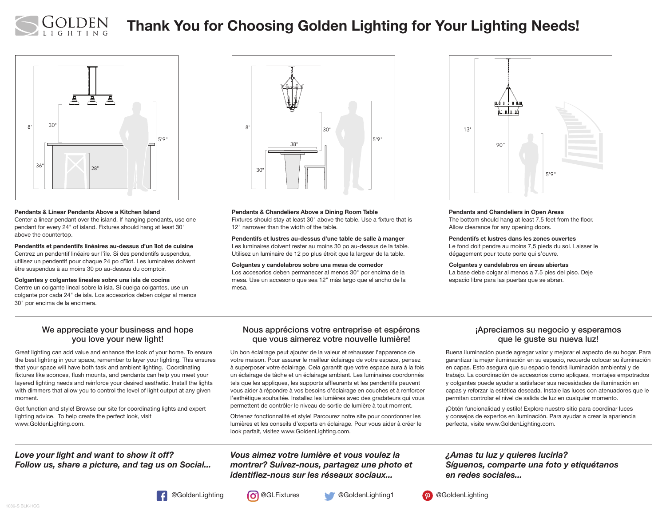

# Thank You for Choosing Golden Lighting for Your Lighting Needs!



#### Pendants & Linear Pendants Above a Kitchen Island

Center a linear pendant over the island. If hanging pendants, use one pendant for every 24" of island. Fixtures should hang at least 30" above the countertop.

Pendentifs et pendentifs linéaires au-dessus d'un îlot de cuisine Centrez un pendentif linéaire sur l'île. Si des pendentifs suspendus, utilisez un pendentif pour chaque 24 po d'îlot. Les luminaires doivent être suspendus à au moins 30 po au-dessus du comptoir.

#### Colgantes y colgantes lineales sobre una isla de cocina

Centre un colgante lineal sobre la isla. Si cuelga colgantes, use un colgante por cada 24" de isla. Los accesorios deben colgar al menos 30" por encima de la encimera.



Pendants & Chandeliers Above a Dining Room Table Fixtures should stay at least 30" above the table. Use a fixture that is 12" narrower than the width of the table.

Pendentifs et lustres au-dessus d'une table de salle à manger Les luminaires doivent rester au moins 30 po au-dessus de la table. Utilisez un luminaire de 12 po plus étroit que la largeur de la table.

Colgantes y candelabros sobre una mesa de comedor

Los accesorios deben permanecer al menos 30" por encima de la mesa. Use un accesorio que sea 12" más largo que el ancho de la mesa.



#### Pendants and Chandeliers in Open Areas

The bottom should hang at least 7.5 feet from the floor. Allow clearance for any opening doors.

#### Pendentifs et lustres dans les zones ouvertes

Le fond doit pendre au moins 7,5 pieds du sol. Laisser le dégagement pour toute porte qui s'ouvre.

#### Colgantes y candelabros en áreas abiertas

La base debe colgar al menos a 7.5 pies del piso. Deje espacio libre para las puertas que se abran.

#### We appreciate your business and hope you love your new light!

Great lighting can add value and enhance the look of your home. To ensure the best lighting in your space, remember to layer your lighting. This ensures that your space will have both task and ambient lighting. Coordinating fixtures like sconces, flush mounts, and pendants can help you meet your layered lighting needs and reinforce your desired aesthetic. Install the lights with dimmers that allow you to control the level of light output at any given moment.

Get function and style! Browse our site for coordinating lights and expert lighting advice. To help create the perfect look, visit www.GoldenLighting.com.

# *Love your light and want to show it off? Follow us, share a picture, and tag us on Social...*

#### Nous apprécions votre entreprise et espérons que vous aimerez votre nouvelle lumière!

Un bon éclairage peut ajouter de la valeur et rehausser l'apparence de votre maison. Pour assurer le meilleur éclairage de votre espace, pensez à superposer votre éclairage. Cela garantit que votre espace aura à la fois un éclairage de tâche et un éclairage ambiant. Les luminaires coordonnés tels que les appliques, les supports affleurants et les pendentifs peuvent vous aider à répondre à vos besoins d'éclairage en couches et à renforcer l'esthétique souhaitée. Installez les lumières avec des gradateurs qui vous permettent de contrôler le niveau de sortie de lumière à tout moment.

Obtenez fonctionnalité et style! Parcourez notre site pour coordonner les lumières et les conseils d'experts en éclairage. Pour vous aider à créer le look parfait, visitez www.GoldenLighting.com.

### *Vous aimez votre lumière et vous voulez la montrer? Suivez-nous, partagez une photo et identifiez-nous sur les réseaux sociaux...*

#### ¡Apreciamos su negocio y esperamos que le guste su nueva luz!

Buena iluminación puede agregar valor y mejorar el aspecto de su hogar. Para garantizar la mejor iluminación en su espacio, recuerde colocar su iluminación en capas. Esto asegura que su espacio tendrá iluminación ambiental y de trabajo. La coordinación de accesorios como apliques, montajes empotrados y colgantes puede ayudar a satisfacer sus necesidades de iluminación en capas y reforzar la estética deseada. Instale las luces con atenuadores que le permitan controlar el nivel de salida de luz en cualquier momento.

¡Obtén funcionalidad y estilo! Explore nuestro sitio para coordinar luces y consejos de expertos en iluminación. Para ayudar a crear la apariencia perfecta, visite www.GoldenLighting.com.

## *¿Amas tu luz y quieres lucirla? Síguenos, comparte una foto y etiquétanos en redes sociales...*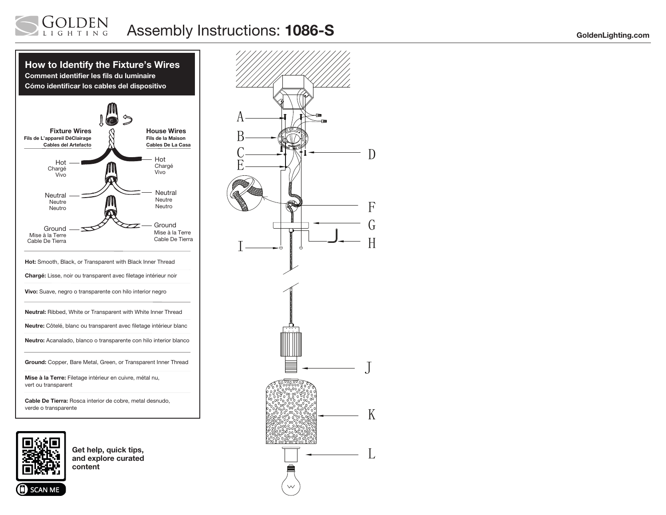





**SCAN ME** 

Get help, quick tips, and explore curated content

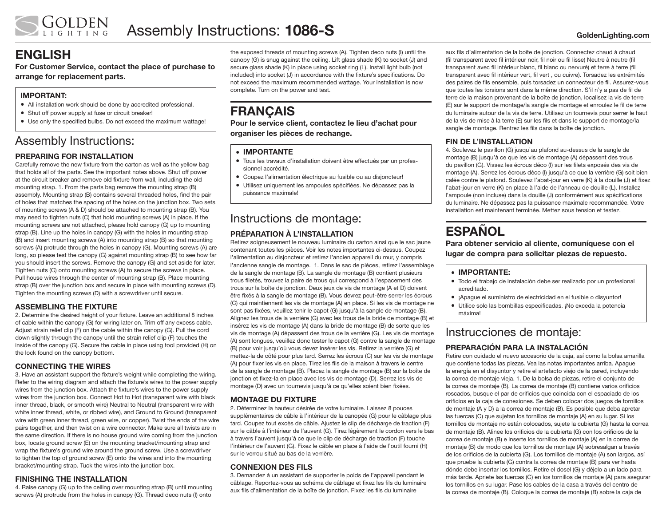# ENGLISH

For Customer Service, contact the place of purchase to arrange for replacement parts.

## IMPORTANT:

- All installation work should be done by accredited professional.
- Shut off power supply at fuse or circuit breaker!
- Use only the specified bulbs. Do not exceed the maximum wattage!

# Assembly Instructions:

## PREPARING FOR INSTALLATION

Carefully remove the new fixture from the carton as well as the yellow bag that holds all of the parts. See the important notes above. Shut off power at the circuit breaker and remove old fixture from wall, including the old mounting strap. 1. From the parts bag remove the mounting strap (B) assembly. Mounting strap (B) contains several threaded holes, find the pair of holes that matches the spacing of the holes on the junction box. Two sets of mounting screws (A & D) should be attached to mounting strap (B). You may need to tighten nuts (C) that hold mounting screws (A) in place. If the mounting screws are not attached, please hold canopy (G) up to mounting strap (B). Line up the holes in canopy (G) with the holes in mounting strap (B) and insert mounting screws (A) into mounting strap (B) so that mounting screws (A) protrude through the holes in canopy (G). Mounting screws (A) are long, so please test the canopy (G) against mounting strap (B) to see how far you should insert the screws. Remove the canopy (G) and set aside for later. Tighten nuts (C) onto mounting screws (A) to secure the screws in place. Pull house wires through the center of mounting strap (B). Place mounting strap (B) over the junction box and secure in place with mounting screws (D). Tighten the mounting screws (D) with a screwdriver until secure.

## ASSEMBLING THE FIXTURE

2. Determine the desired height of your fixture. Leave an additional 8 inches of cable within the canopy (G) for wiring later on. Trim off any excess cable. Adjust strain relief clip (F) on the cable within the canopy (G). Pull the cord down slightly through the canopy until the strain relief clip (F) touches the inside of the canopy (G). Secure the cable in place using tool provided (H) on the lock found on the canopy bottom.

### CONNECTING THE WIRES

3. Have an assistant support the fixture's weight while completing the wiring. Refer to the wiring diagram and attach the fixture's wires to the power supply wires from the junction box. Attach the fixture's wires to the power supply wires from the junction box. Connect Hot to Hot (transparent wire with black inner thread, black, or smooth wire) Neutral to Neutral (transparent wire with white inner thread, white, or ribbed wire), and Ground to Ground (transparent wire with green inner thread, green wire, or copper). Twist the ends of the wire pairs together, and then twist on a wire connector. Make sure all twists are in the same direction. If there is no house ground wire coming from the junction box, locate ground screw (E) on the mounting bracket/mounting strap and wrap the fixture's ground wire around the ground screw. Use a screwdriver to tighten the top of ground screw (E) onto the wires and into the mounting bracket/mounting strap. Tuck the wires into the junction box.

## FINISHING THE INSTALLATION

4. Raise canopy (G) up to the ceiling over mounting strap (B) until mounting screws (A) protrude from the holes in canopy (G). Thread deco nuts (I) onto

the exposed threads of mounting screws (A). Tighten deco nuts (I) until the canopy (G) is snug against the ceiling. Lift glass shade (K) to socket (J) and secure glass shade (K) in place using socket ring (L). Install light bulb (not included) into socket (J) in accordance with the fixture's specifications. Do not exceed the maximum recommended wattage. Your installation is now complete. Turn on the power and test.

# **FRANCAIS**

Pour le service client, contactez le lieu d'achat pour organiser les pièces de rechange.

#### • IMPORTANTE

- Tous les travaux d'installation doivent être effectués par un professionnel accrédité.
- Coupez l'alimentation électrique au fusible ou au disjoncteur!
- Utilisez uniquement les ampoules spécifiées. Ne dépassez pas la puissance maximale!

# Instructions de montage:

## PRÉPARATION À L'INSTALLATION

Retirez soigneusement le nouveau luminaire du carton ainsi que le sac jaune contenant toutes les pièces. Voir les notes importantes ci-dessus. Coupez l'alimentation au disjoncteur et retirez l'ancien appareil du mur, y compris l'ancienne sangle de montage. 1. Dans le sac de pièces, retirez l'assemblage de la sangle de montage (B). La sangle de montage (B) contient plusieurs trous filetés, trouvez la paire de trous qui correspond à l'espacement des trous sur la boîte de jonction. Deux jeux de vis de montage (A et D) doivent être fixés à la sangle de montage (B). Vous devrez peut-être serrer les écrous (C) qui maintiennent les vis de montage (A) en place. Si les vis de montage ne sont pas fixées, veuillez tenir le capot (G) jusqu'à la sangle de montage (B). Alignez les trous de la verrière (G) avec les trous de la bride de montage (B) et insérez les vis de montage (A) dans la bride de montage (B) de sorte que les vis de montage (A) dépassent des trous de la verrière (G). Les vis de montage (A) sont longues, veuillez donc tester le capot (G) contre la sangle de montage (B) pour voir jusqu'où vous devez insérer les vis. Retirez la verrière (G) et mettez-la de côté pour plus tard. Serrez les écrous (C) sur les vis de montage (A) pour fixer les vis en place. Tirez les fils de la maison à travers le centre de la sangle de montage (B). Placez la sangle de montage (B) sur la boîte de jonction et fixez-la en place avec les vis de montage (D). Serrez les vis de montage (D) avec un tournevis jusqu'à ce qu'elles soient bien fixées.

### MONTAGE DU FIXTURE

2. Déterminez la hauteur désirée de votre luminaire. Laissez 8 pouces supplémentaires de câble à l'intérieur de la canopée (G) pour le câblage plus tard. Coupez tout excès de câble. Ajustez le clip de décharge de traction (F) sur le câble à l'intérieur de l'auvent (G). Tirez légèrement le cordon vers le bas à travers l'auvent jusqu'à ce que le clip de décharge de traction (F) touche l'intérieur de l'auvent (G). Fixez le câble en place à l'aide de l'outil fourni (H) sur le verrou situé au bas de la verrière.

### CONNEXION DES FILS

3. Demandez à un assistant de supporter le poids de l'appareil pendant le câblage. Reportez-vous au schéma de câblage et fixez les fils du luminaire aux fils d'alimentation de la boîte de jonction. Fixez les fils du luminaire

aux fils d'alimentation de la boîte de jonction. Connectez chaud à chaud (fil transparent avec fil intérieur noir, fil noir ou fil lisse) Neutre à neutre (fil transparent avec fil intérieur blanc, fil blanc ou nervuré) et terre à terre (fil transparent avec fil intérieur vert, fil vert , ou cuivre). Torsadez les extrémités des paires de fils ensemble, puis torsadez un connecteur de fil. Assurez-vous que toutes les torsions sont dans la même direction. S'il n'y a pas de fil de terre de la maison provenant de la boîte de jonction, localisez la vis de terre (E) sur le support de montage/la sangle de montage et enroulez le fil de terre du luminaire autour de la vis de terre. Utilisez un tournevis pour serrer le haut de la vis de mise à la terre (E) sur les fils et dans le support de montage/la sangle de montage. Rentrez les fils dans la boîte de jonction.

## FIN DE L'INSTALLATION

4. Soulevez le pavillon (G) jusqu'au plafond au-dessus de la sangle de montage (B) jusqu'à ce que les vis de montage (A) dépassent des trous du pavillon (G). Vissez les écrous déco (I) sur les filets exposés des vis de montage (A). Serrez les écrous déco (I) jusqu'à ce que la verrière (G) soit bien calée contre le plafond. Soulevez l'abat-jour en verre (K) à la douille (J) et fixez l'abat-jour en verre (K) en place à l'aide de l'anneau de douille (L). Installez l'ampoule (non incluse) dans la douille (J) conformément aux spécifications du luminaire. Ne dépassez pas la puissance maximale recommandée. Votre installation est maintenant terminée. Mettez sous tension et testez.

# **ESPAÑOL**

Para obtener servicio al cliente, comuníquese con el lugar de compra para solicitar piezas de repuesto.

#### • IMPORTANTE:

- Todo el trabajo de instalación debe ser realizado por un profesional acreditado.
- ¡Apague el suministro de electricidad en el fusible o disyuntor!
- Utilice solo las bombillas especificadas. ¡No exceda la potencia máxima!

# Instrucciones de montaje:

## PREPARACIÓN PARA LA INSTALACIÓN

Retire con cuidado el nuevo accesorio de la caja, así como la bolsa amarilla que contiene todas las piezas. Vea las notas importantes arriba. Apague la energía en el disyuntor y retire el artefacto viejo de la pared, incluyendo la correa de montaje vieja. 1. De la bolsa de piezas, retire el conjunto de la correa de montaje (B). La correa de montaje (B) contiene varios orificios roscados, busque el par de orificios que coincida con el espaciado de los orificios en la caja de conexiones. Se deben colocar dos juegos de tornillos de montaje (A y D) a la correa de montaje (B). Es posible que deba apretar las tuercas (C) que sujetan los tornillos de montaje (A) en su lugar. Si los tornillos de montaje no están colocados, sujete la cubierta (G) hasta la correa de montaje (B). Alinee los orificios de la cubierta (G) con los orificios de la correa de montaje (B) e inserte los tornillos de montaje (A) en la correa de montaje (B) de modo que los tornillos de montaje (A) sobresalgan a través de los orificios de la cubierta (G). Los tornillos de montaje (A) son largos, así que pruebe la cubierta (G) contra la correa de montaje (B) para ver hasta dónde debe insertar los tornillos. Retire el dosel (G) y déjelo a un lado para más tarde. Apriete las tuercas (C) en los tornillos de montaje (A) para asegurar los tornillos en su lugar. Pase los cables de la casa a través del centro de la correa de montaje (B). Coloque la correa de montaje (B) sobre la caja de